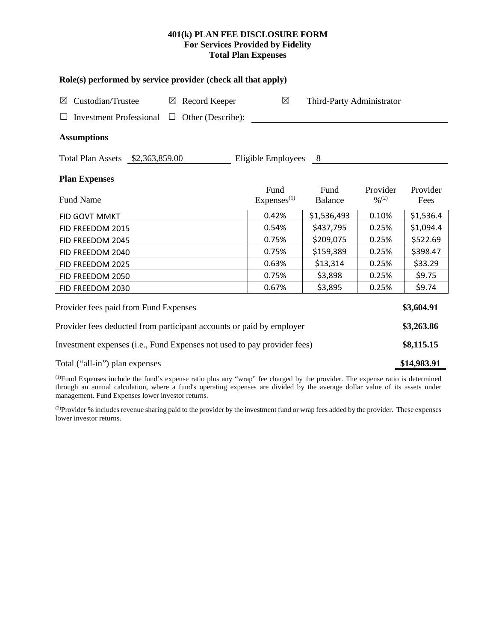# **401(k) PLAN FEE DISCLOSURE FORM For Services Provided by Fidelity Total Plan Expenses**

| Role(s) performed by service provider (check all that apply)            |                           |                                |                           |                 |                  |  |  |
|-------------------------------------------------------------------------|---------------------------|--------------------------------|---------------------------|-----------------|------------------|--|--|
| Custodian/Trustee<br>$\bowtie$                                          | $\boxtimes$ Record Keeper | $\boxtimes$                    | Third-Party Administrator |                 |                  |  |  |
| Investment Professional $\Box$                                          | Other (Describe):         |                                |                           |                 |                  |  |  |
| <b>Assumptions</b>                                                      |                           |                                |                           |                 |                  |  |  |
| Total Plan Assets \$2,363,859.00                                        |                           | Eligible Employees 8           |                           |                 |                  |  |  |
| <b>Plan Expenses</b>                                                    |                           |                                |                           |                 |                  |  |  |
| <b>Fund Name</b>                                                        |                           | Fund<br>Express <sup>(1)</sup> | Fund<br>Balance           | Provider<br>0/2 | Provider<br>Fees |  |  |
| FID GOVT MMKT                                                           |                           | 0.42%                          | \$1,536,493               | 0.10%           | \$1,536.4        |  |  |
| FID FREEDOM 2015                                                        |                           | 0.54%                          | \$437,795                 | 0.25%           | \$1,094.4        |  |  |
| FID FREEDOM 2045                                                        |                           | 0.75%                          | \$209,075                 | 0.25%           | \$522.69         |  |  |
| FID FREEDOM 2040                                                        |                           | 0.75%                          | \$159,389                 | 0.25%           | \$398.47         |  |  |
| FID FREEDOM 2025                                                        |                           | 0.63%                          | \$13,314                  | 0.25%           | \$33.29          |  |  |
| FID FREEDOM 2050                                                        |                           | 0.75%                          | \$3,898                   | 0.25%           | \$9.75           |  |  |
| FID FREEDOM 2030                                                        |                           | 0.67%                          | \$3,895                   | 0.25%           | \$9.74           |  |  |
| Provider fees paid from Fund Expenses                                   |                           |                                |                           |                 | \$3,604.91       |  |  |
| Provider fees deducted from participant accounts or paid by employer    |                           |                                |                           |                 | \$3,263.86       |  |  |
| Investment expenses (i.e., Fund Expenses not used to pay provider fees) |                           |                                |                           |                 | \$8,115.15       |  |  |
| Total ("all-in") plan expenses                                          |                           |                                |                           |                 | \$14,983.91      |  |  |

(1) Fund Expenses include the fund's expense ratio plus any "wrap" fee charged by the provider. The expense ratio is determined through an annual calculation, where a fund's operating expenses are divided by the average dollar value of its assets under management. Fund Expenses lower investor returns.

(2) Provider % includes revenue sharing paid to the provider by the investment fund or wrap fees added by the provider. These expenses lower investor returns.